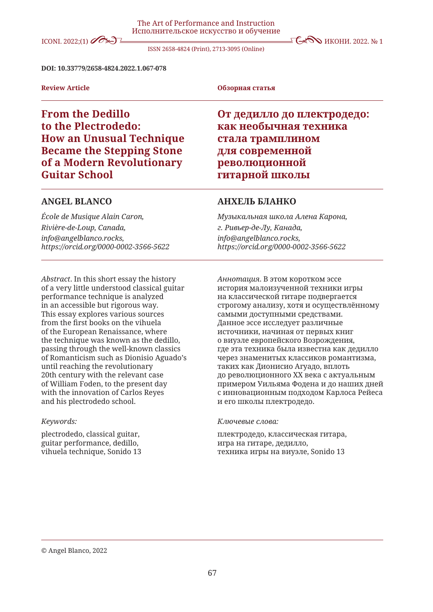# ICONI. 2022:(1)  $\oslash$   $\searrow$   $\searrow$   $\searrow$   $\searrow$   $\searrow$   $\searrow$   $\searrow$   $\searrow$   $\searrow$   $\searrow$   $\searrow$   $\searrow$   $\searrow$   $\searrow$   $\searrow$   $\searrow$   $\searrow$   $\searrow$   $\searrow$   $\searrow$   $\searrow$   $\searrow$   $\searrow$   $\searrow$   $\searrow$   $\searrow$   $\searrow$   $\searrow$   $\searrow$   $\searrow$   $\searrow$   $\searrow$   $\searrow$

ISSN 2658-4824 (Print), 2713-3095 (Online)

#### **DOI: 10.33779/2658-4824.2022.1.067-078**

**Review Article Обзорная статья**

# **From the Dedillo to the Plectrodedo: How an Unusual Technique Became the Stepping Stone of a Modern Revolutionary Guitar School**

## **ANGEL BLANCO**

*École de Musique Alain Caron, Rivière-de-Loup, Canada, info@angelblanco.rocks, https://orcid.org/0000-0002-3566-5622*

*Abstract*. In this short essay the history of a very little understood classical guitar performance technique is analyzed in an accessible but rigorous way. This essay explores various sources from the first books on the vihuela of the European Renaissance, where the technique was known as the dedillo, passing through the well-known classics of Romanticism such as Dionisio Aguado's until reaching the revolutionary 20th century with the relevant case of William Foden, to the present day with the innovation of Carlos Reyes and his plectrodedo school.

#### *Keywords:*

plectrodedo, classical guitar, guitar performance, dedillo, vihuela technique, Sonido 13

# **От дедилло до плектродедо: как необычная техника стала трамплином для современной революционной гитарной школы**

## **АНХЕЛЬ БЛАНКО**

*Музыкальная школа Алена Карона, г. Ривьер-де-Лу, Канада, info@angelblanco.rocks, https://orcid.org/0000-0002-3566-5622*

*Аннотация*. В этом коротком эссе история малоизученной техники игры на классической гитаре подвергается строгому анализу, хотя и осуществлённому самыми доступными средствами. Данное эссе исследует различные источники, начиная от первых книг о виуэле европейского Возрождения, где эта техника была известна как дедилло через знаменитых классиков романтизма, таких как Дионисио Агуадо, вплоть до революционного XX века с актуальным примером Уильяма Фодена и до наших дней с инновационным подходом Карлоса Рейеса и его школы плектродедо.

#### *Ключевые слова:*

плектродедо, классическая гитара, игра на гитаре, дедилло, техника игры на виуэле, Sonido 13

#### © Angel Blanco, 2022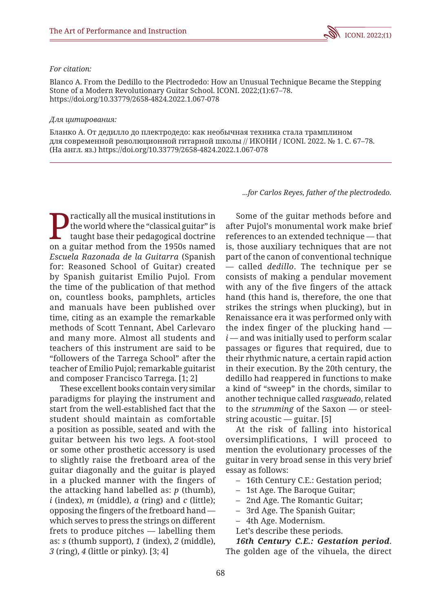### *For citation:*

Blanco A. From the Dedillo to the Plectrodedo: How an Unusual Technique Became the Stepping Stone of a Modern Revolutionary Guitar School. ICONI. 2022;(1):67–78. https://doi.org/10.33779/2658-4824.2022.1.067-078

#### *Для цитирования:*

Бланко А. От дедилло до плектродедо: как необычная техника стала трамплином для современной революционной гитарной школы // ИКОНИ / ICONI. 2022. № 1. С. 67–78. (На англ. яз.) https://doi.org/10.33779/2658-4824.2022.1.067-078

ractically all the musical institutions in the world where the "classical guitar" is taught base their pedagogical doctrine on a guitar method from the 1950s named *Escuela Razonada de la Guitarra* (Spanish for: Reasoned School of Guitar) created by Spanish guitarist Emilio Pujol. From the time of the publication of that method on, countless books, pamphlets, articles and manuals have been published over time, citing as an example the remarkable methods of Scott Tennant, Abel Carlevaro and many more. Almost all students and teachers of this instrument are said to be "followers of the Tarrega School" after the teacher of Emilio Pujol; remarkable guitarist and composer Francisco Tarrega. [1; 2]

These excellent books contain very similar paradigms for playing the instrument and start from the well-established fact that the student should maintain as comfortable a position as possible, seated and with the guitar between his two legs. A foot-stool or some other prosthetic accessory is used to slightly raise the fretboard area of the guitar diagonally and the guitar is played in a plucked manner with the fingers of the attacking hand labelled as: *p* (thumb),  $i$  (index),  $m$  (middle),  $a$  (ring) and  $c$  (little); opposing the fingers of the fretboard hand which serves to press the strings on different frets to produce pitches — labelling them as: *s* (thumb support), *1* (index), *2* (middle), *3* (ring), *4* (little or pinky). [3; 4]

*...for Carlos Reyes, father of the plectrodedo.*

Some of the guitar methods before and after Pujol's monumental work make brief references to an extended technique — that is, those auxiliary techniques that are not part of the canon of conventional technique — called *dedillo*. The technique per se consists of making a pendular movement with any of the five fingers of the attack hand (this hand is, therefore, the one that strikes the strings when plucking), but in Renaissance era it was performed only with the index finger of the plucking hand  $i$  — and was initially used to perform scalar passages or figures that required, due to their rhythmic nature, a certain rapid action in their execution. By the 20th century, the dedillo had reappered in functions to make a kind of "sweep" in the chords, similar to another technique called *rasgueado*, related to the *strumming* of the Saxon — or steelstring acoustic — guitar. [5]

At the risk of falling into historical oversimplifications, I will proceed to mention the evolutionary processes of the guitar in very broad sense in this very brief essay as follows:

- 16th Century C.E.: Gestation period;
- 1st Age. The Baroque Guitar;
- 2nd Age. The Romantic Guitar;
- 3rd Age. The Spanish Guitar;
- 4th Age. Modernism.
- Let's describe these periods.

*16th Century C.E.: Gestation period*. The golden age of the vihuela, the direct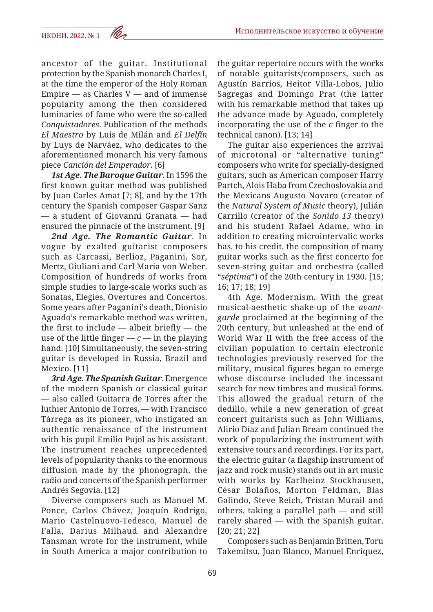ancestor of the guitar. Institutional protection by the Spanish monarch Charles I, at the time the emperor of the Holy Roman Empire  $-$  as Charles  $V$   $-$  and of immense popularity among the then considered luminaries of fame who were the so-called *Conquistadores*. Publication of the methods *El Maestro* by Luis de Milán and *El Delfín* by Luys de Narváez, who dedicates to the aforementioned monarch his very famous piece *Canción del Emperador.* [6]

*1st Age. The Baroque Guitar*. In 1596 the first known guitar method was published by Juan Carles Amat [7; 8], and by the 17th century the Spanish composer Gaspar Sanz — a student of Giovanni Granata — had ensured the pinnacle of the instrument. [9]

*2nd Age. The Romantic Guitar*. In vogue by exalted guitarist composers such as Carcassi, Berlioz, Paganini, Sor, Mertz, Giuliani and Carl Maria von Weber. Composition of hundreds of works from simple studies to large-scale works such as Sonatas, Elegies, Overtures and Concertos. Some years after Paganini's death, Dionisio Aguado's remarkable method was written, the first to include  $-$  albeit briefly  $-$  the use of the little finger  $-c$  — in the playing hand. [10] Simultaneously, the seven-string guitar is developed in Russia, Brazil and Mexico. [11]

*3rd Age. The Spanish Guitar*. Emergence of the modern Spanish or classical guitar — also called Guitarra de Torres after the luthier Antonio de Torres, — with Francisco Tárrega as its pioneer, who instigated an authentic renaissance of the instrument with his pupil Emilio Pujol as his assistant. The instrument reaches unprecedented levels of popularity thanks to the enormous diffusion made by the phonograph, the radio and concerts of the Spanish performer Andrés Segovia. [12]

Diverse composers such as Manuel M. Ponce, Carlos Chávez, Joaquín Rodrigo, Mario Castelnuovo-Tedesco, Manuel de Falla, Darius Milhaud and Alexandre Tansman wrote for the instrument, while in South America a major contribution to the guitar repertoire occurs with the works of notable guitarists/composers, such as Agustín Barrios, Heitor Villa-Lobos, Julio Sagregas and Domingo Prat (the latter with his remarkable method that takes up the advance made by Aguado, completely incorporating the use of the *c* finger to the technical canon). [13; 14]

The guitar also experiences the arrival of microtonal or "alternative tuning" composers who write for specially-designed guitars, such as American composer Harry Partch, Alois Haba from Czechoslovakia and the Mexicans Augusto Novaro (creator of the *Natural System of Music* theory), Julián Carrillo (creator of the *Sonido 13* theory) and his student Rafael Adame, who in addition to creating microintervalic works has, to his credit, the composition of many guitar works such as the first concerto for seven-string guitar and orchestra (called "*séptima*") of the 20th century in 1930. [15; 16; 17; 18; 19]

4th Age. Modernism. With the great musical-aesthetic shake-up of the *avantgarde* proclaimed at the beginning of the 20th century, but unleashed at the end of World War II with the free access of the civilian population to certain electronic technologies previously reserved for the military, musical figures began to emerge whose discourse included the incessant search for new timbres and musical forms. This allowed the gradual return of the dedillo, while a new generation of great concert guitarists such as John Williams, Alirio Díaz and Julian Bream continued the work of popularizing the instrument with extensive tours and recordings. For its part, the electric guitar (a flagship instrument of jazz and rock music) stands out in art music with works by Karlheinz Stockhausen, César Bolaños, Morton Feldman, Blas Galindo, Steve Reich, Tristan Murail and others, taking a parallel path — and still rarely shared — with the Spanish guitar. [20; 21; 22]

Composers such as Benjamin Britten, Toru Takemitsu, Juan Blanco, Manuel Enriquez,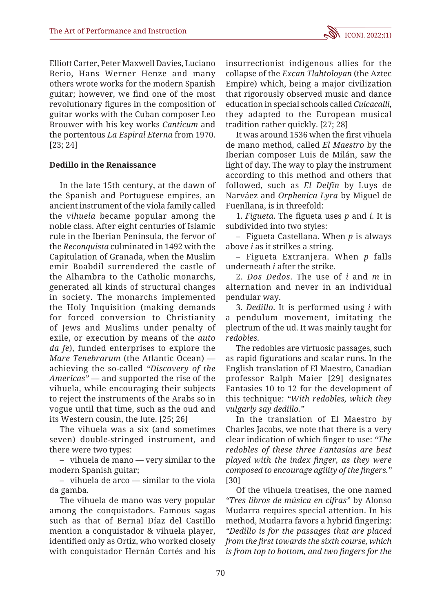Elliott Carter, Peter Maxwell Davies, Luciano Berio, Hans Werner Henze and many others wrote works for the modern Spanish guitar; however, we find one of the most revolutionary figures in the composition of guitar works with the Cuban composer Leo Brouwer with his key works *Canticum* and the portentous *La Espiral Eterna* from 1970. [23; 24]

## **Dedillo in the Renaissance**

In the late 15th century, at the dawn of the Spanish and Portuguese empires, an ancient instrument of the viola family called the *vihuela* became popular among the noble class. After eight centuries of Islamic rule in the Iberian Peninsula, the fervor of the *Reconquista* culminated in 1492 with the Capitulation of Granada, when the Muslim emir Boabdil surrendered the castle of the Alhambra to the Catholic monarchs, generated all kinds of structural changes in society. The monarchs implemented the Holy Inquisition (making demands for forced conversion to Christianity of Jews and Muslims under penalty of exile, or execution by means of the *auto da fe*), funded enterprises to explore the *Mare Tenebrarum* (the Atlantic Ocean) achieving the so-called *"Discovery of the Americas"* — and supported the rise of the vihuela, while encouraging their subjects to reject the instruments of the Arabs so in vogue until that time, such as the oud and its Western cousin, the lute. [25; 26]

The vihuela was a six (and sometimes seven) double-stringed instrument, and there were two types:

– vihuela de mano — very similar to the modern Spanish guitar;

– vihuela de arco — similar to the viola da gamba.

The vihuela de mano was very popular among the conquistadors. Famous sagas such as that of Bernal Díaz del Castillo mention a conquistador & vihuela player, identified only as Ortiz, who worked closely with conquistador Hernán Cortés and his insurrectionist indigenous allies for the collapse of the *Excan Tlahtoloyan* (the Aztec Empire) which, being a major civilization that rigorously observed music and dance education in special schools called *Cuicacalli*, they adapted to the European musical tradition rather quickly. [27; 28]

It was around 1536 when the first vihuela de mano method, called *El Maestro* by the Iberian composer Luis de Milán, saw the light of day. The way to play the instrument according to this method and others that followed, such as *El Delfín* by Luys de Narváez and *Orphenica Lyra* by Miguel de Fuenllana, is in threefold:

1. *Figueta*. The figueta uses *p* and *i*. It is subdivided into two styles:

– Figueta Castellana. When *p* is always above *i* as it strilkes a string.

– Figueta Extranjera. When *p* falls underneath *i* after the strike.

2. *Dos Dedos*. The use of *i* and *m* in alternation and never in an individual pendular way.

3. *Dedillo*. It is performed using *i* with a pendulum movement, imitating the plectrum of the ud. It was mainly taught for *redobles*.

The redobles are virtuosic passages, such as rapid figurations and scalar runs. In the English translation of El Maestro, Canadian professor Ralph Maier [29] designates Fantasies 10 to 12 for the development of this technique: *"With redobles, which they vulgarly say dedillo."*

In the translation of El Maestro by Charles Jacobs, we note that there is a very clear indication of which finger to use: *"The redobles of these three Fantasias are best played with the index finger, as they were composed to encourage agility of the fingers."* [30]

Of the vihuela treatises, the one named *"Tres libros de música en cifras"* by Alonso Mudarra requires special attention. In his method, Mudarra favors a hybrid fingering: *"Dedillo is for the passages that are placed from the first towards the sixth course, which is from top to bottom, and two fingers for the*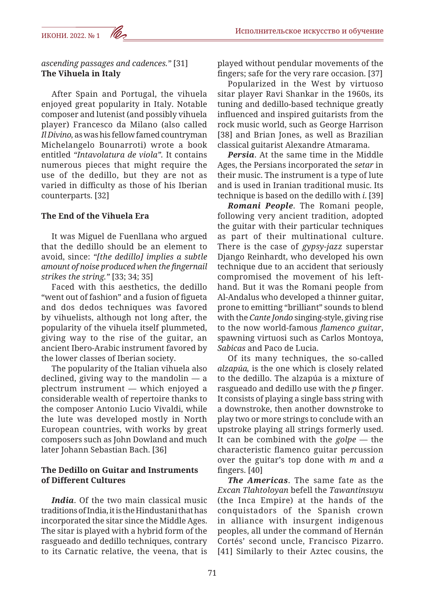*ascending passages and cadences."* [31] **The Vihuela in Italy**

After Spain and Portugal, the vihuela enjoyed great popularity in Italy. Notable composer and lutenist (and possibly vihuela player) Francesco da Milano (also called *Il Divino,* as was his fellow famed countryman Michelangelo Bounarroti) wrote a book entitled *"Intavolatura de viola".* It contains numerous pieces that might require the use of the dedillo, but they are not as varied in difficulty as those of his Iberian counterparts. [32]

### **The End of the Vihuela Era**

It was Miguel de Fuenllana who argued that the dedillo should be an element to avoid, since: *"[the dedillo] implies a subtle amount of noise produced when the fingernail strikes the string."* [33; 34; 35]

Faced with this aesthetics, the dedillo "went out of fashion" and a fusion of figueta and dos dedos techniques was favored by vihuelists, although not long after, the popularity of the vihuela itself plummeted, giving way to the rise of the guitar, an ancient Ibero-Arabic instrument favored by the lower classes of Iberian society.

The popularity of the Italian vihuela also declined, giving way to the mandolin — a plectrum instrument — which enjoyed a considerable wealth of repertoire thanks to the composer Antonio Lucio Vivaldi, while the lute was developed mostly in North European countries, with works by great composers such as John Dowland and much later Johann Sebastian Bach. [36]

### **The Dedillo on Guitar and Instruments of Different Cultures**

*India*. Of the two main classical music traditions of India, it is the Hindustani that has incorporated the sitar since the Middle Ages. The sitar is played with a hybrid form of the rasgueado and dedillo techniques, contrary to its Carnatic relative, the veena, that is played without pendular movements of the fingers; safe for the very rare occasion. [37]

Popularized in the West by virtuoso sitar player Ravi Shankar in the 1960s, its tuning and dedillo-based technique greatly influenced and inspired guitarists from the rock music world, such as George Harrison [38] and Brian Jones, as well as Brazilian classical guitarist Alexandre Atmarama.

*Persia*. At the same time in the Middle Ages, the Persians incorporated the *setar* in their music. The instrument is a type of lute and is used in Iranian traditional music. Its technique is based on the dedillo with *i*. [39]

*Romani People*. The Romani people, following very ancient tradition, adopted the guitar with their particular techniques as part of their multinational culture. There is the case of *gypsy-jazz* superstar Django Reinhardt, who developed his own technique due to an accident that seriously compromised the movement of his lefthand. But it was the Romani people from Al-Andalus who developed a thinner guitar, prone to emitting "brilliant" sounds to blend with the *Cante Jondo* singing-style, giving rise to the now world-famous *flamenco guitar*, spawning virtuosi such as Carlos Montoya, *Sabicas* and Paco de Lucia.

Of its many techniques, the so-called *alzapúa,* is the one which is closely related to the dedillo. The alzapúa is a mixture of rasgueado and dedillo use with the *p* finger. It consists of playing a single bass string with a downstroke, then another downstroke to play two or more strings to conclude with an upstroke playing all strings formerly used. It can be combined with the *golpe* — the characteristic flamenco guitar percussion over the guitar's top done with *m* and *a* fingers. [40]

*The Americas*. The same fate as the *Excan Tlahtoloyan* befell the *Tawantinsuyu* (the Inca Empire) at the hands of the conquistadors of the Spanish crown in alliance with insurgent indigenous peoples, all under the command of Hernán Cortés' second uncle, Francisco Pizarro. [41] Similarly to their Aztec cousins, the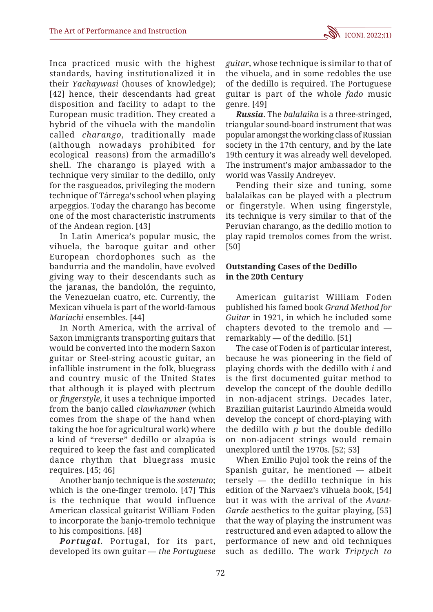Inca practiced music with the highest standards, having institutionalized it in their *Yachaywasi* (houses of knowledge); [42] hence, their descendants had great disposition and facility to adapt to the European music tradition. They created a hybrid of the vihuela with the mandolin called *charango*, traditionally made (although nowadays prohibited for ecological reasons) from the armadillo's shell. The charango is played with a technique very similar to the dedillo, only for the rasgueados, privileging the modern technique of Tárrega's school when playing arpeggios. Today the charango has become one of the most characteristic instruments of the Andean region. [43]

In Latin America's popular music, the vihuela, the baroque guitar and other European chordophones such as the bandurria and the mandolin, have evolved giving way to their descendants such as the jaranas, the bandolón, the requinto, the Venezuelan cuatro, etc. Currently, the Mexican vihuela is part of the world-famous *Mariachi* ensembles. [44]

In North America, with the arrival of Saxon immigrants transporting guitars that would be converted into the modern Saxon guitar or Steel-string acoustic guitar, an infallible instrument in the folk, bluegrass and country music of the United States that although it is played with plectrum or *fingerstyle*, it uses a technique imported from the banjo called *clawhammer* (which comes from the shape of the hand when taking the hoe for agricultural work) where a kind of "reverse" dedillo or alzapúa is required to keep the fast and complicated dance rhythm that bluegrass music requires. [45; 46]

Another banjo technique is the *sostenuto*; which is the one-finger tremolo. [47] This is the technique that would influence American classical guitarist William Foden to incorporate the banjo-tremolo technique to his compositions. [48]

*Portugal*. Portugal, for its part, developed its own guitar — *the Portuguese*  *guitar*, whose technique is similar to that of the vihuela, and in some redobles the use of the dedillo is required. The Portuguese guitar is part of the whole *fado* music genre. [49]

*Russia*. The *balalaika* is a three-stringed, triangular sound-board instrument that was popular amongst the working class of Russian society in the 17th century, and by the late 19th century it was already well developed. The instrument's major ambassador to the world was Vassily Andreyev.

Pending their size and tuning, some balalaikas can be played with a plectrum or fingerstyle. When using fingerstyle, its technique is very similar to that of the Peruvian charango, as the dedillo motion to play rapid tremolos comes from the wrist. [50]

## **Outstanding Cases of the Dedillo in the 20th Century**

American guitarist William Foden published his famed book *Grand Method for Guitar* in 1921, in which he included some chapters devoted to the tremolo and remarkably — of the dedillo. [51]

The case of Foden is of particular interest, because he was pioneering in the field of playing chords with the dedillo with *i* and is the first documented guitar method to develop the concept of the double dedillo in non-adjacent strings. Decades later, Brazilian guitarist Laurindo Almeida would develop the concept of chord-playing with the dedillo with *p* but the double dedillo on non-adjacent strings would remain unexplored until the 1970s. [52; 53]

When Emilio Pujol took the reins of the Spanish guitar, he mentioned — albeit tersely — the dedillo technique in his edition of the Narvaez's vihuela book, [54] but it was with the arrival of the *Avant-Garde* aesthetics to the guitar playing, [55] that the way of playing the instrument was restructured and even adapted to allow the performance of new and old techniques such as dedillo. The work *Triptych to*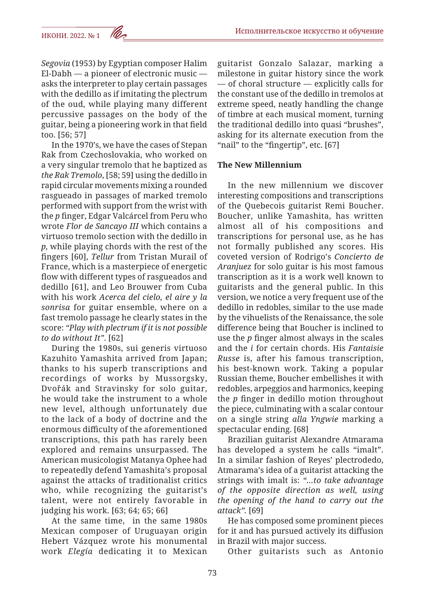*Segovia* (1953) by Egyptian composer Halim El-Dabh — a pioneer of electronic music asks the interpreter to play certain passages with the dedillo as if imitating the plectrum of the oud, while playing many different percussive passages on the body of the guitar, being a pioneering work in that field too. [56; 57]

In the 1970's, we have the cases of Stepan Rak from Czechoslovakia, who worked on a very singular tremolo that he baptized as *the Rak Tremolo*, [58; 59] using the dedillo in rapid circular movements mixing a rounded rasgueado in passages of marked tremolo performed with support from the wrist with the *p* finger, Edgar Valcárcel from Peru who wrote *Flor de Sancayo III* which contains a virtuoso tremolo section with the dedillo in *p,* while playing chords with the rest of the fingers [60], *Tellur* from Tristan Murail of France, which is a masterpiece of energetic flow with different types of rasgueados and dedillo [61], and Leo Brouwer from Cuba with his work *Acerca del cielo, el aire y la sonrisa* for guitar ensemble, where on a fast tremolo passage he clearly states in the score: *"Play with plectrum if it is not possible to do without It"*. [62]

During the 1980s, sui generis virtuoso Kazuhito Yamashita arrived from Japan; thanks to his superb transcriptions and recordings of works by Mussorgsky, Dvořák and Stravinsky for solo guitar, he would take the instrument to a whole new level, although unfortunately due to the lack of a body of doctrine and the enormous difficulty of the aforementioned transcriptions, this path has rarely been explored and remains unsurpassed. The American musicologist Matanya Ophee had to repeatedly defend Yamashita's proposal against the attacks of traditionalist critics who, while recognizing the guitarist's talent, were not entirely favorable in judging his work. [63; 64; 65; 66]

At the same time, in the same 1980s Mexican composer of Uruguayan origin Hebert Vázquez wrote his monumental work *Elegía* dedicating it to Mexican guitarist Gonzalo Salazar, marking a milestone in guitar history since the work — of choral structure — explicitly calls for the constant use of the dedillo in tremolos at extreme speed, neatly handling the change of timbre at each musical moment, turning the traditional dedillo into quasi "brushes", asking for its alternate execution from the "nail" to the "fingertip", etc. [67]

## **The New Millennium**

In the new millennium we discover interesting compositions and transcriptions of the Quebecois guitarist Remi Boucher. Boucher, unlike Yamashita, has written almost all of his compositions and transcriptions for personal use, as he has not formally published any scores. His coveted version of Rodrigo's *Concierto de Aranjuez* for solo guitar is his most famous transcription as it is a work well known to guitarists and the general public. In this version, we notice a very frequent use of the dedillo in redobles, similar to the use made by the vihuelists of the Renaissance, the sole difference being that Boucher is inclined to use the *p* finger almost always in the scales and the *i* for certain chords. His *Fantaisie Russe* is, after his famous transcription, his best-known work. Taking a popular Russian theme, Boucher embellishes it with redobles, arpeggios and harmonics, keeping the *p* finger in dedillo motion throughout the piece, culminating with a scalar contour on a single string *alla Yngwie* marking a spectacular ending. [68]

Brazilian guitarist Alexandre Atmarama has developed a system he calls "imalt". In a similar fashion of Reyes' plectrodedo, Atmarama's idea of a guitarist attacking the strings with imalt is: *"…to take advantage of the opposite direction as well, using the opening of the hand to carry out the attack".* [69]

He has composed some prominent pieces for it and has pursued actively its diffusion in Brazil with major success.

Other guitarists such as Antonio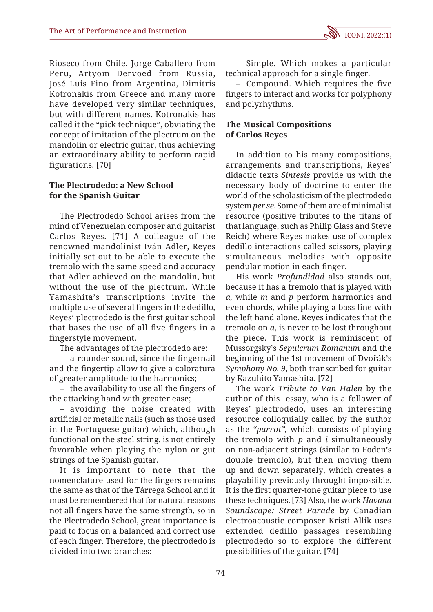Rioseco from Chile, Jorge Caballero from Peru, Artyom Dervoed from Russia, José Luis Fino from Argentina, Dimitris Kotronakis from Greece and many more have developed very similar techniques, but with different names. Kotronakis has called it the "pick technique", obviating the concept of imitation of the plectrum on the mandolin or electric guitar, thus achieving an extraordinary ability to perform rapid figurations. [70]

## **The Plectrodedo: a New School for the Spanish Guitar**

The Plectrodedo School arises from the mind of Venezuelan composer and guitarist Carlos Reyes. [71] A colleague of the renowned mandolinist Iván Adler, Reyes initially set out to be able to execute the tremolo with the same speed and accuracy that Adler achieved on the mandolin, but without the use of the plectrum. While Yamashita's transcriptions invite the multiple use of several fingers in the dedillo, Reyes' plectrodedo is the first guitar school that bases the use of all five fingers in a fingerstyle movement.

The advantages of the plectrodedo are:

– a rounder sound, since the fingernail and the fingertip allow to give a coloratura of greater amplitude to the harmonics;

– the availability to use all the fingers of the attacking hand with greater ease;

– avoiding the noise created with artificial or metallic nails (such as those used in the Portuguese guitar) which, although functional on the steel string, is not entirely favorable when playing the nylon or gut strings of the Spanish guitar.

It is important to note that the nomenclature used for the fingers remains the same as that of the Tárrega School and it must be remembered that for natural reasons not all fingers have the same strength, so in the Plectrodedo School, great importance is paid to focus on a balanced and correct use of each finger. Therefore, the plectrodedo is divided into two branches:

– Simple. Which makes a particular technical approach for a single finger.

– Compound. Which requires the five fingers to interact and works for polyphony and polyrhythms.

## **The Musical Compositions of Carlos Reyes**

In addition to his many compositions, arrangements and transcriptions, Reyes' didactic texts *Síntesis* provide us with the necessary body of doctrine to enter the world of the scholasticism of the plectrodedo system *per se*. Some of them are of minimalist resource (positive tributes to the titans of that language, such as Philip Glass and Steve Reich) where Reyes makes use of complex dedillo interactions called scissors, playing simultaneous melodies with opposite pendular motion in each finger.

His work *Profundidad* also stands out, because it has a tremolo that is played with *a,* while *m* and *p* perform harmonics and even chords, while playing a bass line with the left hand alone. Reyes indicates that the tremolo on *a*, is never to be lost throughout the piece. This work is reminiscent of Mussorgsky's *Sepulcrum Romanum* and the beginning of the 1st movement of Dvořák's *Symphony No. 9*, both transcribed for guitar by Kazuhito Yamashita. [72]

The work *Tribute to Van Halen* by the author of this essay, who is a follower of Reyes' plectrodedo, uses an interesting resource colloquially called by the author as the *"parrot",* which consists of playing the tremolo with *p* and *i* simultaneously on non-adjacent strings (similar to Foden's double tremolo), but then moving them up and down separately, which creates a playability previously throught impossible. It is the first quarter-tone guitar piece to use these techniques. [73] Also, the work *Havana Soundscape: Street Parade* by Canadian electroacoustic composer Kristi Allik uses extended dedillo passages resembling plectrodedo so to explore the different possibilities of the guitar. [74]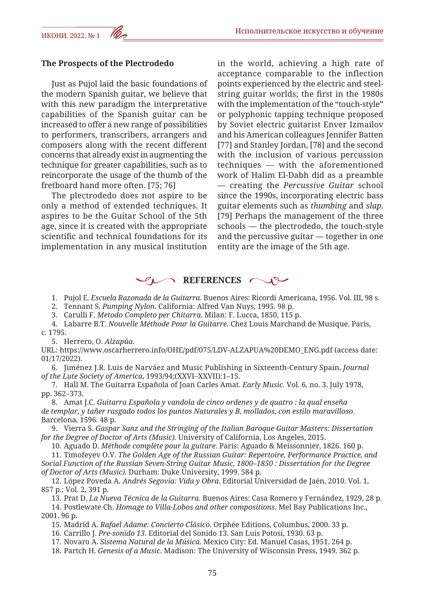### **The Prospects of the Plectrodedo**

Just as Pujol laid the basic foundations of the modern Spanish guitar, we believe that with this new paradigm the interpretative capabilities of the Spanish guitar can be increased to offer a new range of possibilities to performers, transcribers, arrangers and composers along with the recent different concerns that already exist in augmenting the technique for greater capabilities, such as to reincorporate the usage of the thumb of the fretboard hand more often. [75; 76]

The plectrodedo does not aspire to be only a method of extended techniques. It aspires to be the Guitar School of the 5th age, since it is created with the appropriate scientific and technical foundations for its implementation in any musical institution in the world, achieving a high rate of acceptance comparable to the inflection points experienced by the electric and steelstring guitar worlds; the first in the 1980s with the implementation of the "touch-style" or polyphonic tapping technique proposed by Soviet electric guitarist Enver Izmailov and his American colleagues Jennifer Batten [77] and Stanley Jordan, [78] and the second with the inclusion of various percussion techniques — with the aforementioned work of Halim El-Dabh did as a preamble — creating the *Percussive Guitar* school since the 1990s, incorporating electric bass guitar elements such as *thumbing* and *slap*. [79] Perhaps the management of the three schools — the plectrodedo, the touch-style and the percussive guitar — together in one entity are the image of the 5th age.

## **REFERENCES**

1. Pujol E. *Escuela Razonada de la Guitarra*. Buenos Aires: Ricordi Americana, 1956. Vol. III, 98 s.

2. Tennant S. *Pumping Nylon*. California: Alfred Van Nuys, 1995. 98 p.

3. Carulli F. *Metodo Completo per Chitarra*. Milan: F. Lucca, 1850, 115 p.

4. Labarre B.T. *Nouvelle Méthode Pour la Guitarre*. Chez Louis Marchand de Musique. Paris, c. 1795.

5. Herrero, O. *Alzapúa*.

URL: https://www.oscarherrero.info/OHE/pdf/075/LDV-ALZAPUA%20DEMO\_ENG.pdf (access date: 01/17/2022).

6. Jiménez J.R. Luis de Narváez and Music Publishing in Sixteenth-Century Spain. *Journal of the Lute Society of America*, 1993/94;(XXVI–XXVII):1–15.

7. Hall M. The Guitarra Española of Joan Carles Amat. *Early Music*. Vol. 6, no. 3. July 1978, pp. 362–373.

8. Amat J.C. *Guitarra Española y vandola de cinco ordenes y de quatro : la qual enseña de templar, y tañer rasgado todos los puntos Naturales y B, mollados, con estilo maravilloso*. Barcelona, 1596. 48 p.

9. Vierra S. *Gaspar Sanz and the Stringing of the Italian Baroque Guitar Masters: Dissertation for the Degree of Doctor of Arts (Music).* University of California, Los Angeles, 2015.

10. Aguado D. *Méthode complète pour la guitare*. París: Aguado & Meissonnier, 1826. 160 p.

11. Timofeyev O.V. *The Golden Age of the Russian Guitar: Repertoire, Performance Practice, and Social Function of the Russian Seven-String Guitar Music, 1800–1850 : Dissertation for the Degree of Doctor of Arts (Music).* Durham: Duke University, 1999. 584 p.

12. López Poveda A. *Andrés Segovia: Vida y Obra*. Editorial Universidad de Jaén, 2010. Vol. 1, 857 p.; Vol. 2, 391 p.

13. Prat D. *La Nueva Técnica de la Guitarra*. Buenos Aires: Casa Romero y Fernández, 1929, 28 p. 14. Postlewate Ch. *Homage to Villa-Lobos and other compositions*. Mel Bay Publications Inc.,

2001. 96 p.

15. Madrid A. *Rafael Adame: Concierto Clásico*. Orphée Editions, Columbus, 2000. 33 p.

16. Carrillo J. *Pre-sonido 13*. Editorial del Sonido 13. San Luis Potosí, 1930. 63 p.

17. Novaro A. *Sistema Natural de la Música*. Mexico City: Ed. Manuel Casas, 1951. 264 p.

18. Partch H. *Genesis of a Music*. Madison: The University of Wisconsin Press, 1949. 362 p.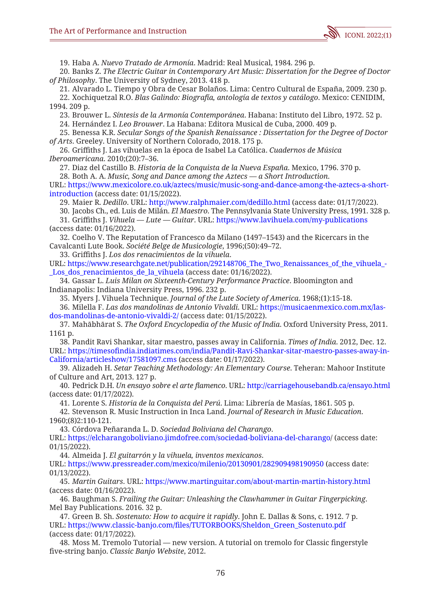

19. Haba A. *Nuevo Tratado de Armonía*. Madrid: Real Musical, 1984. 296 p.

20. Banks Z. *The Electric Guitar in Contemporary Art Music: Dissertation for the Degree of Doctor of Philosophy*. The University of Sydney, 2013. 418 p.

21. Alvarado L. Tiempo y Obra de Cesar Bolaños. Lima: Centro Cultural de España, 2009. 230 p.

22. Xochiquetzal R.O. *Blas Galindo: Biografía, antología de textos y catálogo*. Mexico: CENIDIM, 1994. 209 p.

23. Brouwer L. *Síntesis de la Armonía Contemporánea*. Habana: Instituto del Libro, 1972. 52 p.

24. Hernández I. *Leo Brouwer*. La Habana: Editora Musical de Cuba, 2000. 409 p.

25. Benessa K.R. *Secular Songs of the Spanish Renaissance : Dissertation for the Degree of Doctor of Arts*. Greeley. University of Northern Colorado, 2018. 175 p.

26. Griffiths J. Las vihuelas en la época de Isabel La Católica. *Cuadernos de Música Iberoamericana*. 2010;(20):7–36.

27. Diaz del Castillo B. *Historia de la Conquista de la Nueva España*. Mexico, 1796. 370 p.

28. Both A. A. *Music, Song and Dance among the Aztecs — a Short Introduction*.

URL: https://www.mexicolore.co.uk/aztecs/music/music-song-and-dance-among-the-aztecs-a-shortintroduction (access date: 01/15/2022).

29. Maier R. *Dedillo*. URL: http://www.ralphmaier.com/dedillo.html (access date: 01/17/2022).

30. Jacobs Ch., ed. Luis de Milán. *El Maestro*. The Pennsylvania State University Press, 1991. 328 p.

31. Griffiths J. *Vihuela — Lute — Guitar*. URL: https://www.lavihuela.com/my-publications (access date: 01/16/2022).

32. Coelho V. The Reputation of Francesco da Milano (1497–1543) and the Ricercars in the Cavalcanti Lute Book. *Société Belge de Musicologie*, 1996;(50):49–72.

33. Griffiths J. *Los dos renacimientos de la vihuela*.

URL: https://www.researchgate.net/publication/292148706 The Two Renaissances of the vihuela -Los dos renacimientos de la vihuela (access date: 01/16/2022).

34. Gassar L. *Luis Milan on Sixteenth-Century Performance Practice*. Bloomington and Indianapolis: Indiana University Press, 1996. 232 p.

35. Myers J. Vihuela Technique. *Journal of the Lute Society of America*. 1968;(1):15-18.

36. Milella F. *Las dos mandolinas de Antonio Vivaldi*. URL: https://musicaenmexico.com.mx/lasdos-mandolinas-de-antonio-vivaldi-2/ (access date: 01/15/2022).

37. Mahābhārat S. *The Oxford Encyclopedia of the Music of India*. Oxford University Press, 2011. 1161 p.

38. Pandit Ravi Shankar, sitar maestro, passes away in California. *Times of India*. 2012, Dec. 12. URL: https://timesofindia.indiatimes.com/india/Pandit-Ravi-Shankar-sitar-maestro-passes-away-in-California/articleshow/17581097.cms (access date: 01/17/2022).

39. Alizadeh H. *Setar Teaching Methodology: An Elementary Course*. Teheran: Mahoor Institute of Culture and Art, 2013. 127 p.

40. Pedrick D.H. *Un ensayo sobre el arte flamenco*. URL: http://carriagehousebandb.ca/ensayo.html (access date: 01/17/2022).

41. Lorente S. *Historia de la Conquista del Perú*. Lima: Librería de Masías, 1861. 505 p.

42. Stevenson R. Music Instruction in Inca Land. *Journal of Research in Music Education*. 1960;(8)2:110-121.

43. Córdova Peñaranda L. D. *Sociedad Boliviana del Charango*.

URL: https://elcharangoboliviano.jimdofree.com/sociedad-boliviana-del-charango/ (access date: 01/15/2022).

44. Almeida J. *El guitarrón y la vihuela, inventos mexicanos*.

URL: https://www.pressreader.com/mexico/milenio/20130901/282909498190950 (access date: 01/13/2022).

45. *Martin Guitars*. URL: https://www.martinguitar.com/about-martin-martin-history.html (access date: 01/16/2022).

46. Baughman S. *Frailing the Guitar: Unleashing the Clawhammer in Guitar Fingerpicking*. Mel Bay Publications. 2016. 32 p.

47. Green B. Sh. *Sostenuto: How to acquire it rapidly*. John E. Dallas & Sons, c. 1912. 7 p. URL: https://www.classic-banjo.com/files/TUTORBOOKS/Sheldon\_Green\_Sostenuto.pdf (access date: 01/17/2022).

48. Moss M. Tremolo Tutorial — new version. A tutorial on tremolo for Classic fingerstyle five-string banjo. *Classic Banjo Website*, 2012.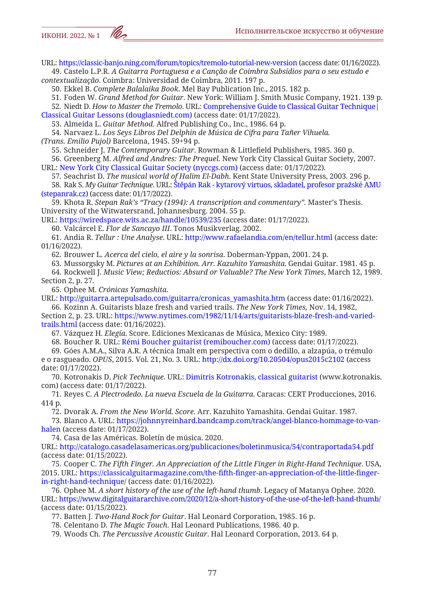URL: https://classic-banjo.ning.com/forum/topics/tremolo-tutorial-new-version (access date: 01/16/2022). 49. Castelo L.P.R. *A Guitarra Portuguesa e a Canção de Coimbra Subsídios para o seu estudo e* 

*contextualização*. Coimbra: Universidad de Coimbra, 2011. 197 p.

50. Ekkel B. *Complete Balalaika Book*. Mel Bay Publication Inc., 2015. 182 p.

51. Foden W. *Grand Method for Guitar*. New York: William J. Smith Music Company, 1921. 139 p.

52. Niedt D. *How to Master the Tremolo*. URL: Comprehensive Guide to Classical Guitar Technique| Classical Guitar Lessons (douglasniedt.com) (access date: 01/17/2022).

53. Almeida L. *Guitar Method*. Alfred Publishing Co., Inc., 1986. 64 p.

54. Narvaez L. *Los Seys Libros Del Delphin de Música de Cifra para Tañer Vihuela.* 

*(Trans. Emilio Pujol)* Barcelona, 1945. 59+94 p.

55. Schneider J. *The Contemporary Guitar*. Rowman & Littlefield Publishers, 1985. 360 p.

56. Greenberg M. *Alfred and Andres: The Prequel*. New York City Classical Guitar Society, 2007. URL: New York City Classical Guitar Society (nyccgs.com) (access date: 01/17/2022).

57. Seachrist D. *The musical world of Halim El-Dabh*. Kent State University Press, 2003. 296 p.

58. Rak S. *My Guitar Technique*. URL: Štěpán Rak - kytarový virtuos, skladatel, profesor pražské AMU (stepanrak.cz) (access date: 01/17/2022).

59. Khota R. *Stepan Rak's "Tracy (1994): A transcription and commentary".* Master's Thesis. University of the Witwatersrand, Johannesburg. 2004. 55 p.

URL: https://wiredspace.wits.ac.za/handle/10539/235 (access date: 01/17/2022).

60. Valcárcel E. *Flor de Sancayo III*. Tonos Musikverlag. 2002.

61. Andia R. *Tellur : Une Analyse*. URL: http://www.rafaelandia.com/en/tellur.html (access date: 01/16/2022).

62. Brouwer L. *Acerca del cielo, el aire y la sonrisa*. Doberman-Yppan, 2001. 24 p.

63. Mussorgsky M. *Pictures at an Exhibition. Arr. Kazuhito Yamashita*. Gendai Guitar. 1981. 45 p.

64. Rockwell J. *Music View; Reductios: Absurd or Valuable? The New York Times*, March 12, 1989. Section 2, p. 27.

65. Ophee M. *Crónicas Yamashita*.

URL: http://guitarra.artepulsado.com/guitarra/cronicas\_yamashita.htm (access date: 01/16/2022). 66. Kozinn A. Guitarists blaze fresh and varied trails. *The New York Times,* Nov. 14, 1982,

Section 2, p. 23. URL: https://www.nytimes.com/1982/11/14/arts/guitarists-blaze-fresh-and-variedtrails.html (access date: 01/16/2022).

67. Vázquez H. *Elegía*. Score. Ediciones Mexicanas de Música, Mexico City: 1989.

68. Boucher R. URL: Rémi Boucher guitarist (remiboucher.com) (access date: 01/17/2022).

69. Góes A.M.A., Silva A.R. A técnica Imalt em perspectiva com o dedillo, a alzapúa, o trémulo e o rasgueado. *OPUS*, 2015. Vol. 21, No. 3. URL: http://dx.doi.org/10.20504/opus2015c2102 (access date: 01/17/2022).

70. Kotronakis D. *Pick Technique*. URL: Dimitris Kotronakis, classical guitarist (www.kotronakis. com) (access date: 01/17/2022).

71. Reyes C. *A Plectrodedo. La nueva Escuela de la Guitarra*. Caracas: CERT Producciones, 2016. 414 p.

72. Dvorak A. *From the New World. Score*. Arr. Kazuhito Yamashita. Gendai Guitar. 1987.

73. Blanco A. URL: https://johnnyreinhard.bandcamp.com/track/angel-blanco-hommage-to-vanhalen (access date: 01/17/2022).

74. Casa de las Américas. Boletín de música. 2020.

URL: http://catalogo.casadelasamericas.org/publicaciones/boletinmusica/54/contraportada54.pdf (access date: 01/15/2022).

75. Cooper C. *The Fifth Finger. An Appreciation of the Little Finger in Right-Hand Technique*. USA, 2015. URL: https://classicalguitarmagazine.com/the-fifth-finger-an-appreciation-of-the-little-fingerin-right-hand-technique/ (access date: 01/16/2022).

76. Ophee M. *A short history of the use of the left-hand thumb*. Legacy of Matanya Ophee. 2020. URL: https://www.digitalguitararchive.com/2020/12/a-short-history-of-the-use-of-the-left-hand-thumb/ (access date: 01/15/2022).

77. Batten J. *Two-Hand Rock for Guitar*. Hal Leonard Corporation, 1985. 16 p.

78. Celentano D. *The Magic Touch*. Hal Leonard Publications, 1986. 40 p.

79. Woods Ch. *The Percussive Acoustic Guitar*. Hal Leonard Corporation, 2013. 64 p.